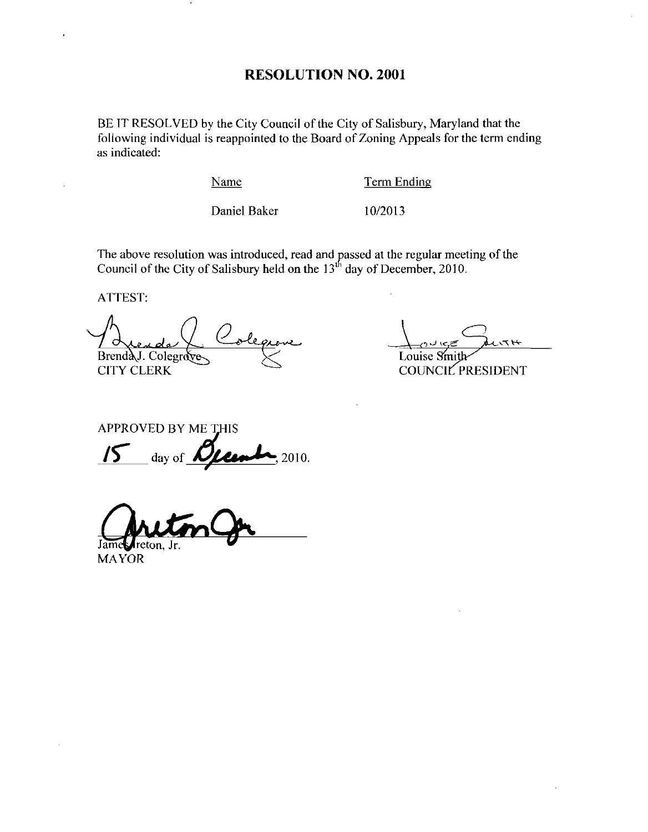### RESOLUTION NO. 2001

BE IT RESOLVED by the City Council of the City of Salisbury, Maryland that the following individual is reappointed to the Board of Zoning Appeals for the term ending as indicated

Name

Term Ending

Daniel Baker

102013

The above resolution was introduced, read and passed at the regular meeting of the Council of the City of Salisbury held on the  $13<sup>th</sup>$  day of December, 2010.

ATTEST

Brenda J. Colegrave

e<br>E

Louise Smi COUNCIL PRESIDENT

CITY CLERK

APPROVED BY ME THIS day of  $\mathcal{D}$ Least, 2010. 75

James reton, Jr.

MAYOR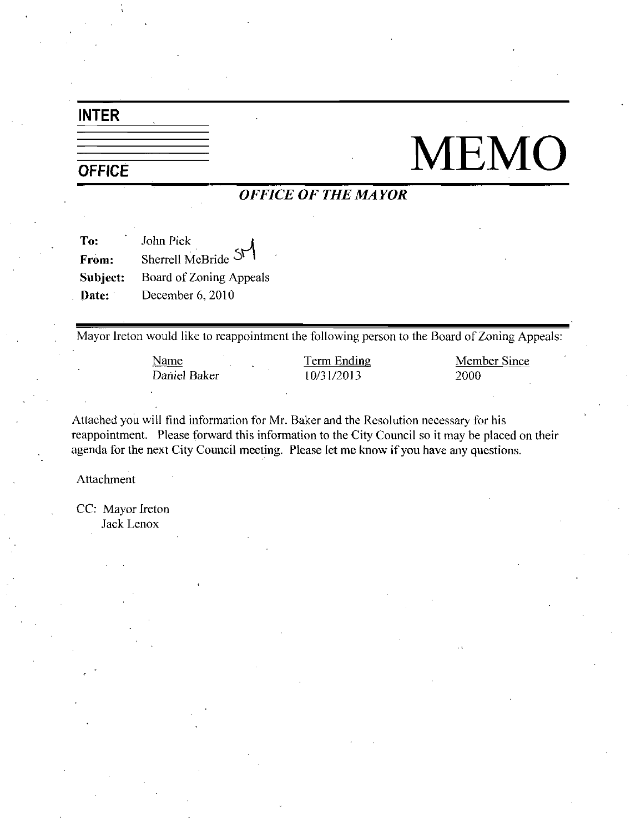### INTER

# $\frac{1}{\sqrt{\text{OPEICE}}}$  MEMO

### OFFICE OF THE MAYOR

| To:      | John Pick               |
|----------|-------------------------|
| From:    | Sherrell McBride SM     |
| Subject: | Board of Zoning Appeals |
| Date:    | December 6, 2010        |

Mayor Ireton would like to reappointment the following person to the Board of Zoning Appeals:

Name Daniel Baker

Term Ending 10/31/2013<br>10/31/2013

Member Since 2000

Attached you will find information for Mr Baker and the Resolution necessary for his reappointment. Please forward this information to the City Council so it may be placed on their agenda for the next City Council meeting. Please let me know if you have any questions.

Attachment

CC: Mayor Ireton

Jack Lenox